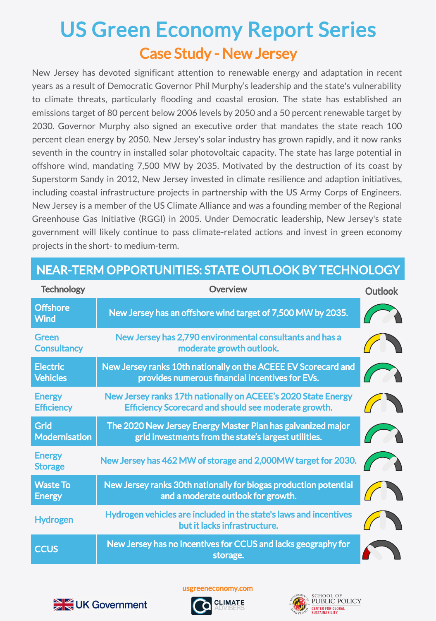## Case Study - New Jersey US Green Economy Report Series

New Jersey has devoted significant attention to renewable energy and adaptation in recent years as a result of Democratic Governor Phil Murphy's leadership and the state's vulnerability to climate threats, particularly flooding and coastal erosion. The state has established an emissions target of 80 percent below 2006 levels by 2050 and a 50 percent renewable target by 2030. Governor Murphy also signed an executive order that mandates the state reach 100 percent clean energy by 2050. New Jersey's solar industry has grown rapidly, and it now ranks seventh in the country in installed solar photovoltaic capacity. The state has large potential in offshore wind, mandating 7,500 MW by 2035. Motivated by the destruction of its coast by Superstorm Sandy in 2012, New Jersey invested in climate resilience and adaption initiatives, including coastal infrastructure projects in partnership with the US Army Corps of Engineers. New Jersey is a member of the US Climate Alliance and was a founding member of the Regional Greenhouse Gas Initiative (RGGI) in 2005. Under Democratic leadership, New Jersey's state government will likely continue to pass climate-related actions and invest in green economy projects in the short- to medium-term.

| <b>Technology</b>                  | <b>Overview</b>                                                                                                              | <b>Outlook</b> |
|------------------------------------|------------------------------------------------------------------------------------------------------------------------------|----------------|
| <b>Offshore</b><br><b>Wind</b>     | New Jersey has an offshore wind target of 7,500 MW by 2035.                                                                  |                |
| <b>Green</b><br><b>Consultancy</b> | New Jersey has 2,790 environmental consultants and has a<br>moderate growth outlook.                                         |                |
| <b>Electric</b><br><b>Vehicles</b> | New Jersey ranks 10th nationally on the ACEEE EV Scorecard and<br>provides numerous financial incentives for EVs.            |                |
| <b>Energy</b><br><b>Efficiency</b> | New Jersey ranks 17th nationally on ACEEE's 2020 State Energy<br><b>Efficiency Scorecard and should see moderate growth.</b> |                |
| Grid<br><b>Modernisation</b>       | The 2020 New Jersey Energy Master Plan has galvanized major<br>grid investments from the state's largest utilities.          |                |
| <b>Energy</b><br><b>Storage</b>    | New Jersey has 462 MW of storage and 2,000MW target for 2030.                                                                |                |
| <b>Waste To</b><br><b>Energy</b>   | New Jersey ranks 30th nationally for biogas production potential<br>and a moderate outlook for growth.                       |                |
| <b>Hydrogen</b>                    | Hydrogen vehicles are included in the state's laws and incentives<br>but it lacks infrastructure.                            |                |
| <b>CCUS</b>                        | New Jersey has no incentives for CCUS and lacks geography for<br>storage.                                                    |                |

## NEAR-TERM OPPORTUNITIES: STATE OUTLOOK BY TECHNOLOGY



usgreeneconomy.com